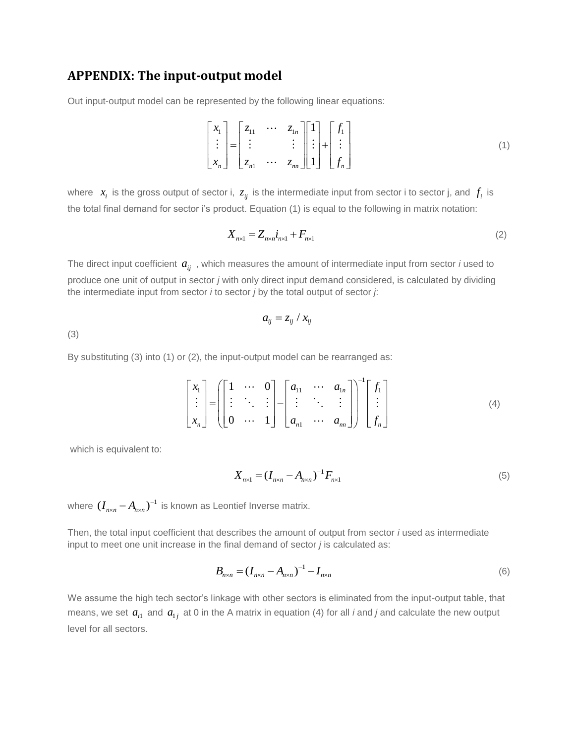## **APPENDIX: The input-output model**

Out input-output model can be represented by the following linear equations:

$$
\begin{bmatrix} x_1 \\ \vdots \\ x_n \end{bmatrix} = \begin{bmatrix} z_{11} & \cdots & z_{1n} \\ \vdots & & \vdots \\ z_{n1} & \cdots & z_{nn} \end{bmatrix} \begin{bmatrix} 1 \\ \vdots \\ 1 \end{bmatrix} + \begin{bmatrix} f_1 \\ \vdots \\ f_n \end{bmatrix}
$$
 (1)

where  $x_i$  is the gross output of sector i,  $z_{ij}$  is the intermediate input from sector i to sector j, and  $f_i$  is the total final demand for sector i's product. Equation (1) is equal to the following in matrix notation:

$$
X_{n\times 1} = Z_{n\times n}i_{n\times 1} + F_{n\times 1} \tag{2}
$$

The direct input coefficient  $a_{ij}^{\dagger}$  , which measures the amount of intermediate input from sector *i* used to produce one unit of output in sector *j* with only direct input demand considered, is calculated by dividing the intermediate input from sector *i* to sector *j* by the total output of sector *j*:

$$
a_{ij} = z_{ij} / x_{ij}
$$

(3)

By substituting (3) into (1) or (2), the input-output model can be rearranged as:

$$
\begin{bmatrix} x_1 \\ \vdots \\ x_n \end{bmatrix} = \left( \begin{bmatrix} 1 & \cdots & 0 \\ \vdots & \ddots & \vdots \\ 0 & \cdots & 1 \end{bmatrix} - \begin{bmatrix} a_{11} & \cdots & a_{1n} \\ \vdots & \ddots & \vdots \\ a_{n1} & \cdots & a_{nn} \end{bmatrix} \right)^{-1} \begin{bmatrix} f_1 \\ \vdots \\ f_n \end{bmatrix}
$$
 (4)

which is equivalent to:

$$
X_{n \times 1} = (I_{n \times n} - A_{n \times n})^{-1} F_{n \times 1}
$$
\n(5)

where  $(I_{n \times n} - A_{n \times n})^{-1}$  is known as Leontief Inverse matrix.

Then, the total input coefficient that describes the amount of output from sector *i* used as intermediate input to meet one unit increase in the final demand of sector *j* is calculated as:

$$
B_{n \times n} = (I_{n \times n} - A_{n \times n})^{-1} - I_{n \times n}
$$
\n(6)

We assume the high tech sector's linkage with other sectors is eliminated from the input-output table, that means, we set  $a_{i1}$  and  $a_{1j}$  at 0 in the A matrix in equation (4) for all *i* and *j* and calculate the new output level for all sectors.